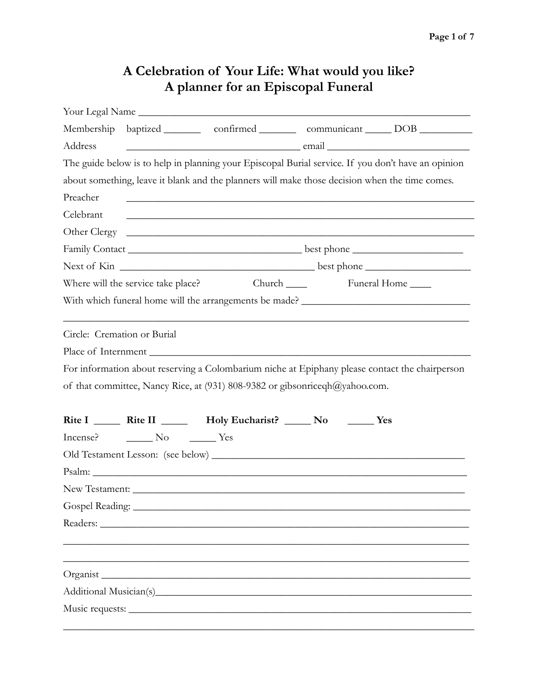## **A Celebration of Your Life: What would you like? A planner for an Episcopal Funeral**

|                                                                                                                                                                                                      |  | Your Legal Name                                                                                                      |  |                                                                                 |  |  |  |                                                                             |
|------------------------------------------------------------------------------------------------------------------------------------------------------------------------------------------------------|--|----------------------------------------------------------------------------------------------------------------------|--|---------------------------------------------------------------------------------|--|--|--|-----------------------------------------------------------------------------|
|                                                                                                                                                                                                      |  |                                                                                                                      |  | Membership baptized ________ confirmed ________ communicant _____ DOB _________ |  |  |  |                                                                             |
| Address                                                                                                                                                                                              |  |                                                                                                                      |  |                                                                                 |  |  |  |                                                                             |
| The guide below is to help in planning your Episcopal Burial service. If you don't have an opinion<br>about something, leave it blank and the planners will make those decision when the time comes. |  |                                                                                                                      |  |                                                                                 |  |  |  |                                                                             |
|                                                                                                                                                                                                      |  |                                                                                                                      |  |                                                                                 |  |  |  |                                                                             |
| Celebrant                                                                                                                                                                                            |  | <u> 1989 - Johann John Harry Harry Harry Harry Harry Harry Harry Harry Harry Harry Harry Harry Harry Harry Harry</u> |  |                                                                                 |  |  |  |                                                                             |
|                                                                                                                                                                                                      |  |                                                                                                                      |  |                                                                                 |  |  |  |                                                                             |
|                                                                                                                                                                                                      |  |                                                                                                                      |  |                                                                                 |  |  |  |                                                                             |
|                                                                                                                                                                                                      |  |                                                                                                                      |  |                                                                                 |  |  |  |                                                                             |
|                                                                                                                                                                                                      |  |                                                                                                                      |  |                                                                                 |  |  |  |                                                                             |
|                                                                                                                                                                                                      |  |                                                                                                                      |  |                                                                                 |  |  |  |                                                                             |
| Circle: Cremation or Burial                                                                                                                                                                          |  |                                                                                                                      |  |                                                                                 |  |  |  |                                                                             |
| For information about reserving a Colombarium niche at Epiphany please contact the chairperson                                                                                                       |  |                                                                                                                      |  |                                                                                 |  |  |  |                                                                             |
|                                                                                                                                                                                                      |  |                                                                                                                      |  |                                                                                 |  |  |  | of that committee, Nancy Rice, at (931) 808-9382 or gibsonriceqh@yahoo.com. |
|                                                                                                                                                                                                      |  | Rite I ________ Rite II __________ Holy Eucharist? ______ No ________ Yes                                            |  |                                                                                 |  |  |  |                                                                             |
|                                                                                                                                                                                                      |  |                                                                                                                      |  |                                                                                 |  |  |  |                                                                             |
|                                                                                                                                                                                                      |  |                                                                                                                      |  |                                                                                 |  |  |  |                                                                             |
|                                                                                                                                                                                                      |  |                                                                                                                      |  |                                                                                 |  |  |  |                                                                             |
|                                                                                                                                                                                                      |  |                                                                                                                      |  |                                                                                 |  |  |  |                                                                             |
|                                                                                                                                                                                                      |  |                                                                                                                      |  |                                                                                 |  |  |  |                                                                             |
| Readers:                                                                                                                                                                                             |  |                                                                                                                      |  |                                                                                 |  |  |  |                                                                             |
|                                                                                                                                                                                                      |  |                                                                                                                      |  |                                                                                 |  |  |  |                                                                             |
|                                                                                                                                                                                                      |  | Organist                                                                                                             |  |                                                                                 |  |  |  |                                                                             |
|                                                                                                                                                                                                      |  |                                                                                                                      |  |                                                                                 |  |  |  |                                                                             |
|                                                                                                                                                                                                      |  | Music requests:                                                                                                      |  |                                                                                 |  |  |  |                                                                             |
|                                                                                                                                                                                                      |  |                                                                                                                      |  |                                                                                 |  |  |  |                                                                             |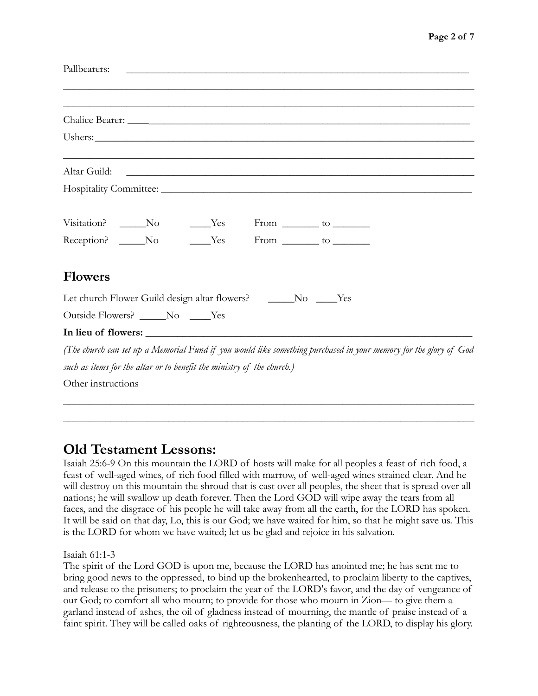| Pallbearers:                                                           |  |  |                                                                                                                     |                                                                                                                  |  |  |  |
|------------------------------------------------------------------------|--|--|---------------------------------------------------------------------------------------------------------------------|------------------------------------------------------------------------------------------------------------------|--|--|--|
|                                                                        |  |  |                                                                                                                     |                                                                                                                  |  |  |  |
|                                                                        |  |  |                                                                                                                     |                                                                                                                  |  |  |  |
|                                                                        |  |  |                                                                                                                     |                                                                                                                  |  |  |  |
| Altar Guild:                                                           |  |  | <u> 1980 - Johann Barn, mars ann an t-Amhain ann an t-Amhain an t-Amhain ann an t-Amhain an t-Amhain ann an t-A</u> |                                                                                                                  |  |  |  |
|                                                                        |  |  |                                                                                                                     |                                                                                                                  |  |  |  |
| Visitation? _____No _____Yes From _______ to _______                   |  |  |                                                                                                                     |                                                                                                                  |  |  |  |
| Reception? No Yes From to                                              |  |  |                                                                                                                     |                                                                                                                  |  |  |  |
| <b>Flowers</b>                                                         |  |  |                                                                                                                     |                                                                                                                  |  |  |  |
| Let church Flower Guild design altar flowers? _______No _____Yes       |  |  |                                                                                                                     |                                                                                                                  |  |  |  |
| Outside Flowers? ______No _____Yes                                     |  |  |                                                                                                                     |                                                                                                                  |  |  |  |
|                                                                        |  |  |                                                                                                                     |                                                                                                                  |  |  |  |
|                                                                        |  |  |                                                                                                                     | (The church can set up a Memorial Fund if you would like something purchased in your memory for the glory of God |  |  |  |
| such as items for the altar or to benefit the ministry of the church.) |  |  |                                                                                                                     |                                                                                                                  |  |  |  |
| Other instructions                                                     |  |  |                                                                                                                     |                                                                                                                  |  |  |  |

# **Old Testament Lessons:**

Isaiah 25:6-9 On this mountain the LORD of hosts will make for all peoples a feast of rich food, a feast of well-aged wines, of rich food filled with marrow, of well-aged wines strained clear. And he will destroy on this mountain the shroud that is cast over all peoples, the sheet that is spread over all nations; he will swallow up death forever. Then the Lord GOD will wipe away the tears from all faces, and the disgrace of his people he will take away from all the earth, for the LORD has spoken. It will be said on that day, Lo, this is our God; we have waited for him, so that he might save us. This is the LORD for whom we have waited; let us be glad and rejoice in his salvation.

\_\_\_\_\_\_\_\_\_\_\_\_\_\_\_\_\_\_\_\_\_\_\_\_\_\_\_\_\_\_\_\_\_\_\_\_\_\_\_\_\_\_\_\_\_\_\_\_\_\_\_\_\_\_\_\_\_\_\_\_\_\_\_\_\_\_\_\_\_\_\_\_\_\_\_\_\_\_ \_\_\_\_\_\_\_\_\_\_\_\_\_\_\_\_\_\_\_\_\_\_\_\_\_\_\_\_\_\_\_\_\_\_\_\_\_\_\_\_\_\_\_\_\_\_\_\_\_\_\_\_\_\_\_\_\_\_\_\_\_\_\_\_\_\_\_\_\_\_\_\_\_\_\_\_\_\_

Isaiah 61:1-3

The spirit of the Lord GOD is upon me, because the LORD has anointed me; he has sent me to bring good news to the oppressed, to bind up the brokenhearted, to proclaim liberty to the captives, and release to the prisoners; to proclaim the year of the LORD's favor, and the day of vengeance of our God; to comfort all who mourn; to provide for those who mourn in Zion— to give them a garland instead of ashes, the oil of gladness instead of mourning, the mantle of praise instead of a faint spirit. They will be called oaks of righteousness, the planting of the LORD, to display his glory.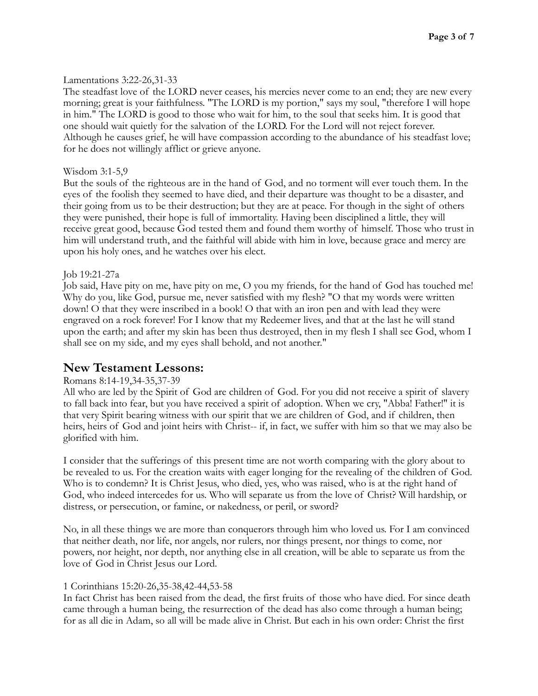## Lamentations 3:22-26,31-33

The steadfast love of the LORD never ceases, his mercies never come to an end; they are new every morning; great is your faithfulness. "The LORD is my portion," says my soul, "therefore I will hope in him." The LORD is good to those who wait for him, to the soul that seeks him. It is good that one should wait quietly for the salvation of the LORD. For the Lord will not reject forever. Although he causes grief, he will have compassion according to the abundance of his steadfast love; for he does not willingly afflict or grieve anyone.

#### Wisdom 3:1-5,9

But the souls of the righteous are in the hand of God, and no torment will ever touch them. In the eyes of the foolish they seemed to have died, and their departure was thought to be a disaster, and their going from us to be their destruction; but they are at peace. For though in the sight of others they were punished, their hope is full of immortality. Having been disciplined a little, they will receive great good, because God tested them and found them worthy of himself. Those who trust in him will understand truth, and the faithful will abide with him in love, because grace and mercy are upon his holy ones, and he watches over his elect.

## Job 19:21-27a

Job said, Have pity on me, have pity on me, O you my friends, for the hand of God has touched me! Why do you, like God, pursue me, never satisfied with my flesh? "O that my words were written down! O that they were inscribed in a book! O that with an iron pen and with lead they were engraved on a rock forever! For I know that my Redeemer lives, and that at the last he will stand upon the earth; and after my skin has been thus destroyed, then in my flesh I shall see God, whom I shall see on my side, and my eyes shall behold, and not another."

## **New Testament Lessons:**

## Romans 8:14-19,34-35,37-39

All who are led by the Spirit of God are children of God. For you did not receive a spirit of slavery to fall back into fear, but you have received a spirit of adoption. When we cry, "Abba! Father!" it is that very Spirit bearing witness with our spirit that we are children of God, and if children, then heirs, heirs of God and joint heirs with Christ-- if, in fact, we suffer with him so that we may also be glorified with him.

I consider that the sufferings of this present time are not worth comparing with the glory about to be revealed to us. For the creation waits with eager longing for the revealing of the children of God. Who is to condemn? It is Christ Jesus, who died, yes, who was raised, who is at the right hand of God, who indeed intercedes for us. Who will separate us from the love of Christ? Will hardship, or distress, or persecution, or famine, or nakedness, or peril, or sword?

No, in all these things we are more than conquerors through him who loved us. For I am convinced that neither death, nor life, nor angels, nor rulers, nor things present, nor things to come, nor powers, nor height, nor depth, nor anything else in all creation, will be able to separate us from the love of God in Christ Jesus our Lord.

#### 1 Corinthians 15:20-26,35-38,42-44,53-58

In fact Christ has been raised from the dead, the first fruits of those who have died. For since death came through a human being, the resurrection of the dead has also come through a human being; for as all die in Adam, so all will be made alive in Christ. But each in his own order: Christ the first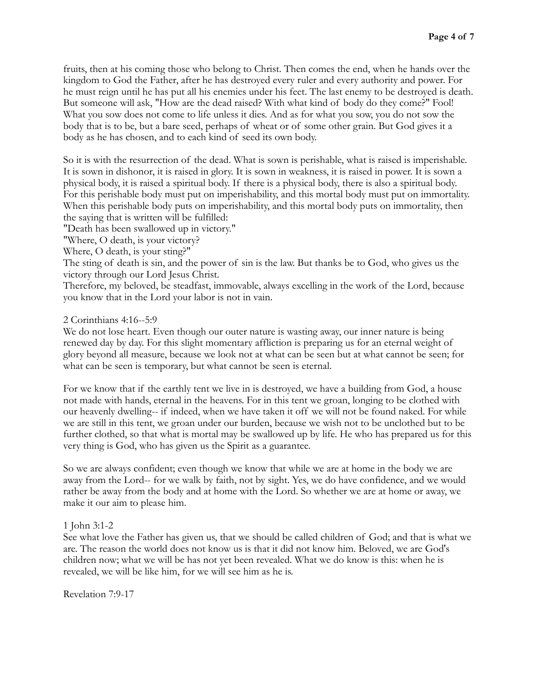fruits, then at his coming those who belong to Christ. Then comes the end, when he hands over the kingdom to God the Father, after he has destroyed every ruler and every authority and power. For he must reign until he has put all his enemies under his feet. The last enemy to be destroyed is death. But someone will ask, "How are the dead raised? With what kind of body do they come?" Fool! What you sow does not come to life unless it dies. And as for what you sow, you do not sow the body that is to be, but a bare seed, perhaps of wheat or of some other grain. But God gives it a body as he has chosen, and to each kind of seed its own body.

So it is with the resurrection of the dead. What is sown is perishable, what is raised is imperishable. It is sown in dishonor, it is raised in glory. It is sown in weakness, it is raised in power. It is sown a physical body, it is raised a spiritual body. If there is a physical body, there is also a spiritual body. For this perishable body must put on imperishability, and this mortal body must put on immortality. When this perishable body puts on imperishability, and this mortal body puts on immortality, then the saying that is written will be fulfilled:

"Death has been swallowed up in victory."

"Where, O death, is your victory?

Where, O death, is your sting?"

The sting of death is sin, and the power of sin is the law. But thanks be to God, who gives us the victory through our Lord Jesus Christ.

Therefore, my beloved, be steadfast, immovable, always excelling in the work of the Lord, because you know that in the Lord your labor is not in vain.

#### 2 Corinthians 4:16--5:9

We do not lose heart. Even though our outer nature is wasting away, our inner nature is being renewed day by day. For this slight momentary affliction is preparing us for an eternal weight of glory beyond all measure, because we look not at what can be seen but at what cannot be seen; for what can be seen is temporary, but what cannot be seen is eternal.

For we know that if the earthly tent we live in is destroyed, we have a building from God, a house not made with hands, eternal in the heavens. For in this tent we groan, longing to be clothed with our heavenly dwelling-- if indeed, when we have taken it off we will not be found naked. For while we are still in this tent, we groan under our burden, because we wish not to be unclothed but to be further clothed, so that what is mortal may be swallowed up by life. He who has prepared us for this very thing is God, who has given us the Spirit as a guarantee.

So we are always confident; even though we know that while we are at home in the body we are away from the Lord-- for we walk by faith, not by sight. Yes, we do have confidence, and we would rather be away from the body and at home with the Lord. So whether we are at home or away, we make it our aim to please him.

#### 1 John 3:1-2

See what love the Father has given us, that we should be called children of God; and that is what we are. The reason the world does not know us is that it did not know him. Beloved, we are God's children now; what we will be has not yet been revealed. What we do know is this: when he is revealed, we will be like him, for we will see him as he is.

Revelation 7:9-17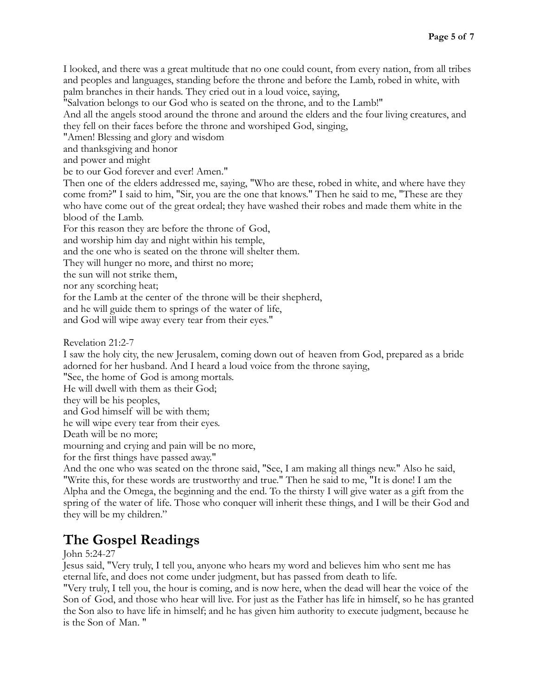I looked, and there was a great multitude that no one could count, from every nation, from all tribes and peoples and languages, standing before the throne and before the Lamb, robed in white, with palm branches in their hands. They cried out in a loud voice, saying,

"Salvation belongs to our God who is seated on the throne, and to the Lamb!"

And all the angels stood around the throne and around the elders and the four living creatures, and they fell on their faces before the throne and worshiped God, singing,

"Amen! Blessing and glory and wisdom

and thanksgiving and honor

and power and might

be to our God forever and ever! Amen."

Then one of the elders addressed me, saying, "Who are these, robed in white, and where have they come from?" I said to him, "Sir, you are the one that knows." Then he said to me, "These are they who have come out of the great ordeal; they have washed their robes and made them white in the blood of the Lamb.

For this reason they are before the throne of God,

and worship him day and night within his temple,

and the one who is seated on the throne will shelter them.

They will hunger no more, and thirst no more;

the sun will not strike them,

nor any scorching heat;

for the Lamb at the center of the throne will be their shepherd,

and he will guide them to springs of the water of life,

and God will wipe away every tear from their eyes."

Revelation 21:2-7

I saw the holy city, the new Jerusalem, coming down out of heaven from God, prepared as a bride adorned for her husband. And I heard a loud voice from the throne saying,

"See, the home of God is among mortals.

He will dwell with them as their God;

they will be his peoples,

and God himself will be with them;

he will wipe every tear from their eyes.

Death will be no more;

mourning and crying and pain will be no more,

for the first things have passed away."

And the one who was seated on the throne said, "See, I am making all things new." Also he said, "Write this, for these words are trustworthy and true." Then he said to me, "It is done! I am the Alpha and the Omega, the beginning and the end. To the thirsty I will give water as a gift from the spring of the water of life. Those who conquer will inherit these things, and I will be their God and they will be my children."

## **The Gospel Readings**

John 5:24-27

Jesus said, "Very truly, I tell you, anyone who hears my word and believes him who sent me has eternal life, and does not come under judgment, but has passed from death to life.

"Very truly, I tell you, the hour is coming, and is now here, when the dead will hear the voice of the Son of God, and those who hear will live. For just as the Father has life in himself, so he has granted the Son also to have life in himself; and he has given him authority to execute judgment, because he is the Son of Man. "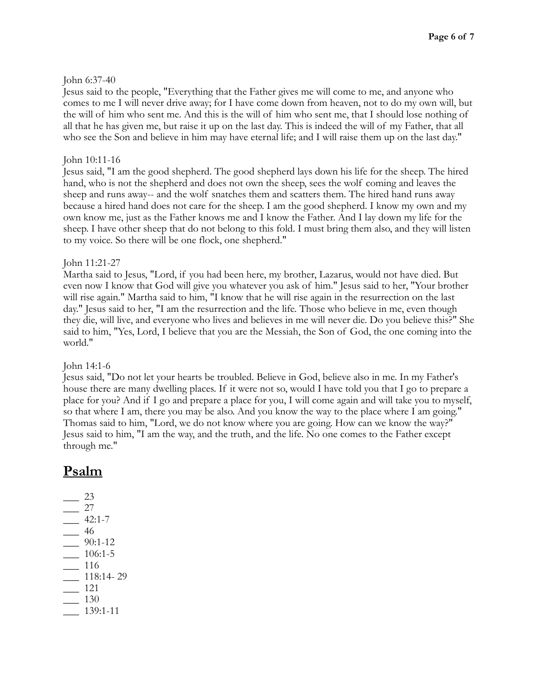## John 6:37-40

Jesus said to the people, "Everything that the Father gives me will come to me, and anyone who comes to me I will never drive away; for I have come down from heaven, not to do my own will, but the will of him who sent me. And this is the will of him who sent me, that I should lose nothing of all that he has given me, but raise it up on the last day. This is indeed the will of my Father, that all who see the Son and believe in him may have eternal life; and I will raise them up on the last day."

## John 10:11-16

Jesus said, "I am the good shepherd. The good shepherd lays down his life for the sheep. The hired hand, who is not the shepherd and does not own the sheep, sees the wolf coming and leaves the sheep and runs away-- and the wolf snatches them and scatters them. The hired hand runs away because a hired hand does not care for the sheep. I am the good shepherd. I know my own and my own know me, just as the Father knows me and I know the Father. And I lay down my life for the sheep. I have other sheep that do not belong to this fold. I must bring them also, and they will listen to my voice. So there will be one flock, one shepherd."

## John 11:21-27

Martha said to Jesus, "Lord, if you had been here, my brother, Lazarus, would not have died. But even now I know that God will give you whatever you ask of him." Jesus said to her, "Your brother will rise again." Martha said to him, "I know that he will rise again in the resurrection on the last day." Jesus said to her, "I am the resurrection and the life. Those who believe in me, even though they die, will live, and everyone who lives and believes in me will never die. Do you believe this?" She said to him, "Yes, Lord, I believe that you are the Messiah, the Son of God, the one coming into the world."

## John 14:1-6

Jesus said, "Do not let your hearts be troubled. Believe in God, believe also in me. In my Father's house there are many dwelling places. If it were not so, would I have told you that I go to prepare a place for you? And if I go and prepare a place for you, I will come again and will take you to myself, so that where I am, there you may be also. And you know the way to the place where I am going." Thomas said to him, "Lord, we do not know where you are going. How can we know the way?" Jesus said to him, "I am the way, and the truth, and the life. No one comes to the Father except through me."

## **Psalm**

\_\_\_ 23  $-$  27  $-42:1-7$ \_\_\_ 46 \_\_\_ 90:1-12 \_\_\_ 106:1-5 \_\_\_ 116 \_\_\_ 118:14- 29 \_\_\_ 121 \_\_\_ 130 \_\_\_ 139:1-11